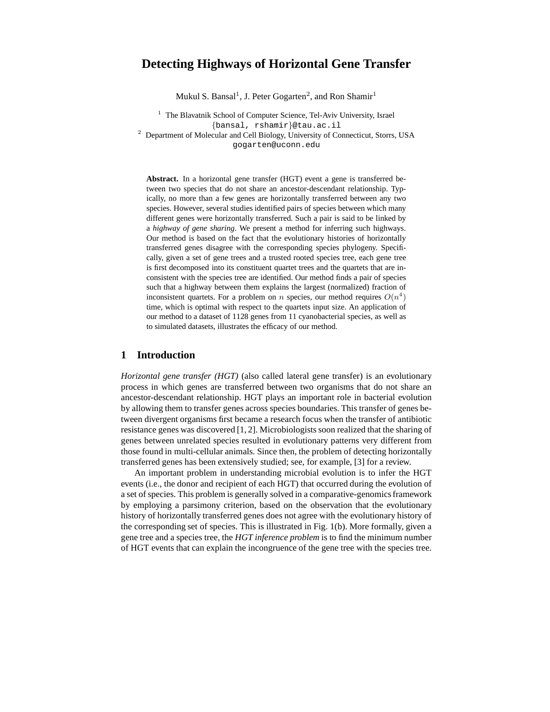# **Detecting Highways of Horizontal Gene Transfer**

Mukul S. Bansal<sup>1</sup>, J. Peter Gogarten<sup>2</sup>, and Ron Shamir<sup>1</sup>

<sup>1</sup> The Blavatnik School of Computer Science, Tel-Aviv University, Israel {bansal, rshamir}@tau.ac.il <sup>2</sup> Department of Molecular and Cell Biology, University of Connecticut, Storrs, USA gogarten@uconn.edu

**Abstract.** In a horizontal gene transfer (HGT) event a gene is transferred between two species that do not share an ancestor-descendant relationship. Typically, no more than a few genes are horizontally transferred between any two species. However, several studies identified pairs of species between which many different genes were horizontally transferred. Such a pair is said to be linked by a *highway of gene sharing*. We present a method for inferring such highways. Our method is based on the fact that the evolutionary histories of horizontally transferred genes disagree with the corresponding species phylogeny. Specifically, given a set of gene trees and a trusted rooted species tree, each gene tree is first decomposed into its constituent quartet trees and the quartets that are inconsistent with the species tree are identified. Our method finds a pair of species such that a highway between them explains the largest (normalized) fraction of inconsistent quartets. For a problem on n species, our method requires  $O(n^4)$ time, which is optimal with respect to the quartets input size. An application of our method to a dataset of 1128 genes from 11 cyanobacterial species, as well as to simulated datasets, illustrates the efficacy of our method.

## **1 Introduction**

*Horizontal gene transfer (HGT)* (also called lateral gene transfer) is an evolutionary process in which genes are transferred between two organisms that do not share an ancestor-descendant relationship. HGT plays an important role in bacterial evolution by allowing them to transfer genes across species boundaries. This transfer of genes between divergent organisms first became a research focus when the transfer of antibiotic resistance genes was discovered [1, 2]. Microbiologists soon realized that the sharing of genes between unrelated species resulted in evolutionary patterns very different from those found in multi-cellular animals. Since then, the problem of detecting horizontally transferred genes has been extensively studied; see, for example, [3] for a review.

An important problem in understanding microbial evolution is to infer the HGT events (i.e., the donor and recipient of each HGT) that occurred during the evolution of a set of species. This problem is generally solved in a comparative-genomics framework by employing a parsimony criterion, based on the observation that the evolutionary history of horizontally transferred genes does not agree with the evolutionary history of the corresponding set of species. This is illustrated in Fig. 1(b). More formally, given a gene tree and a species tree, the *HGT inference problem* is to find the minimum number of HGT events that can explain the incongruence of the gene tree with the species tree.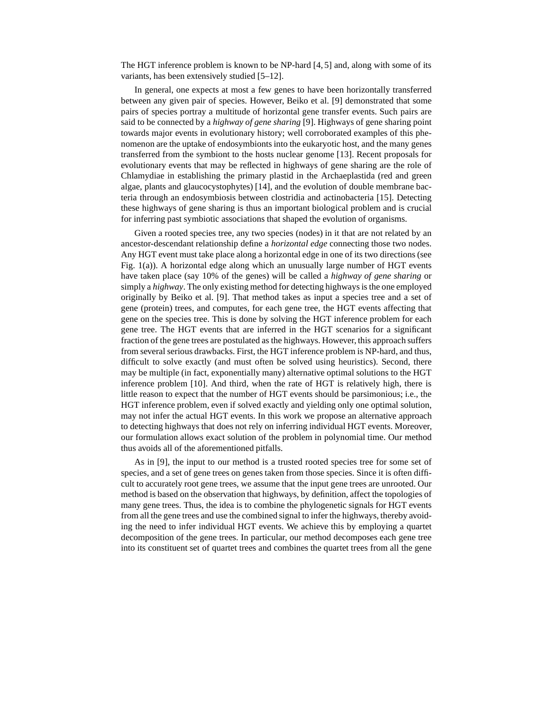The HGT inference problem is known to be NP-hard [4, 5] and, along with some of its variants, has been extensively studied [5–12].

In general, one expects at most a few genes to have been horizontally transferred between any given pair of species. However, Beiko et al. [9] demonstrated that some pairs of species portray a multitude of horizontal gene transfer events. Such pairs are said to be connected by a *highway of gene sharing* [9]. Highways of gene sharing point towards major events in evolutionary history; well corroborated examples of this phenomenon are the uptake of endosymbionts into the eukaryotic host, and the many genes transferred from the symbiont to the hosts nuclear genome [13]. Recent proposals for evolutionary events that may be reflected in highways of gene sharing are the role of Chlamydiae in establishing the primary plastid in the Archaeplastida (red and green algae, plants and glaucocystophytes) [14], and the evolution of double membrane bacteria through an endosymbiosis between clostridia and actinobacteria [15]. Detecting these highways of gene sharing is thus an important biological problem and is crucial for inferring past symbiotic associations that shaped the evolution of organisms.

Given a rooted species tree, any two species (nodes) in it that are not related by an ancestor-descendant relationship define a *horizontal edge* connecting those two nodes. Any HGT event must take place along a horizontal edge in one of its two directions (see Fig. 1(a)). A horizontal edge along which an unusually large number of HGT events have taken place (say 10% of the genes) will be called a *highway of gene sharing* or simply a *highway*. The only existing method for detecting highways is the one employed originally by Beiko et al. [9]. That method takes as input a species tree and a set of gene (protein) trees, and computes, for each gene tree, the HGT events affecting that gene on the species tree. This is done by solving the HGT inference problem for each gene tree. The HGT events that are inferred in the HGT scenarios for a significant fraction of the gene trees are postulated as the highways. However, this approach suffers from several serious drawbacks. First, the HGT inference problem is NP-hard, and thus, difficult to solve exactly (and must often be solved using heuristics). Second, there may be multiple (in fact, exponentially many) alternative optimal solutions to the HGT inference problem [10]. And third, when the rate of HGT is relatively high, there is little reason to expect that the number of HGT events should be parsimonious; i.e., the HGT inference problem, even if solved exactly and yielding only one optimal solution, may not infer the actual HGT events. In this work we propose an alternative approach to detecting highways that does not rely on inferring individual HGT events. Moreover, our formulation allows exact solution of the problem in polynomial time. Our method thus avoids all of the aforementioned pitfalls.

As in [9], the input to our method is a trusted rooted species tree for some set of species, and a set of gene trees on genes taken from those species. Since it is often difficult to accurately root gene trees, we assume that the input gene trees are unrooted. Our method is based on the observation that highways, by definition, affect the topologies of many gene trees. Thus, the idea is to combine the phylogenetic signals for HGT events from all the gene trees and use the combined signal to infer the highways, thereby avoiding the need to infer individual HGT events. We achieve this by employing a quartet decomposition of the gene trees. In particular, our method decomposes each gene tree into its constituent set of quartet trees and combines the quartet trees from all the gene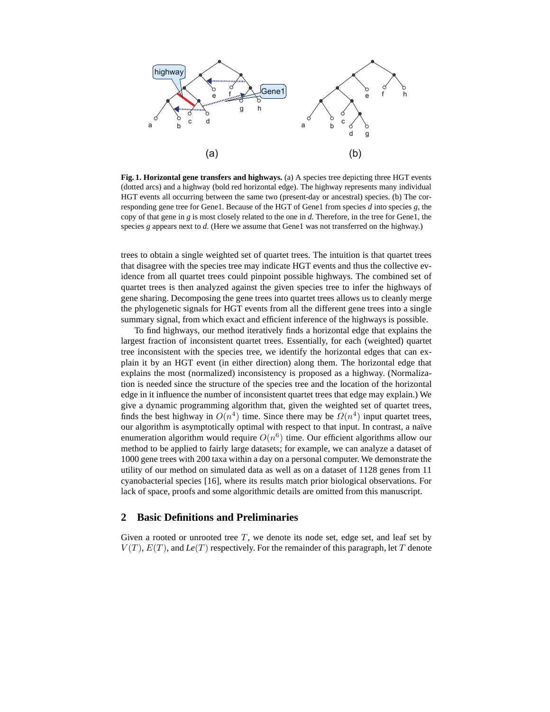

**Fig. 1. Horizontal gene transfers and highways.** (a) A species tree depicting three HGT events (dotted arcs) and a highway (bold red horizontal edge). The highway represents many individual HGT events all occurring between the same two (present-day or ancestral) species. (b) The corresponding gene tree for Gene1. Because of the HGT of Gene1 from species *d* into species *g*, the copy of that gene in *g* is most closely related to the one in *d*. Therefore, in the tree for Gene1, the species *g* appears next to *d*. (Here we assume that Gene1 was not transferred on the highway.)

trees to obtain a single weighted set of quartet trees. The intuition is that quartet trees that disagree with the species tree may indicate HGT events and thus the collective evidence from all quartet trees could pinpoint possible highways. The combined set of quartet trees is then analyzed against the given species tree to infer the highways of gene sharing. Decomposing the gene trees into quartet trees allows us to cleanly merge the phylogenetic signals for HGT events from all the different gene trees into a single summary signal, from which exact and efficient inference of the highways is possible.

To find highways, our method iteratively finds a horizontal edge that explains the largest fraction of inconsistent quartet trees. Essentially, for each (weighted) quartet tree inconsistent with the species tree, we identify the horizontal edges that can explain it by an HGT event (in either direction) along them. The horizontal edge that explains the most (normalized) inconsistency is proposed as a highway. (Normalization is needed since the structure of the species tree and the location of the horizontal edge in it influence the number of inconsistent quartet trees that edge may explain.) We give a dynamic programming algorithm that, given the weighted set of quartet trees, finds the best highway in  $O(n^4)$  time. Since there may be  $\Omega(n^4)$  input quartet trees, our algorithm is asymptotically optimal with respect to that input. In contrast, a naïve enumeration algorithm would require  $O(n^6)$  time. Our efficient algorithms allow our method to be applied to fairly large datasets; for example, we can analyze a dataset of 1000 gene trees with 200 taxa within a day on a personal computer. We demonstrate the utility of our method on simulated data as well as on a dataset of 1128 genes from 11 cyanobacterial species [16], where its results match prior biological observations. For lack of space, proofs and some algorithmic details are omitted from this manuscript.

#### **2 Basic Definitions and Preliminaries**

Given a rooted or unrooted tree  $T$ , we denote its node set, edge set, and leaf set by  $V(T)$ ,  $E(T)$ , and  $Le(T)$  respectively. For the remainder of this paragraph, let T denote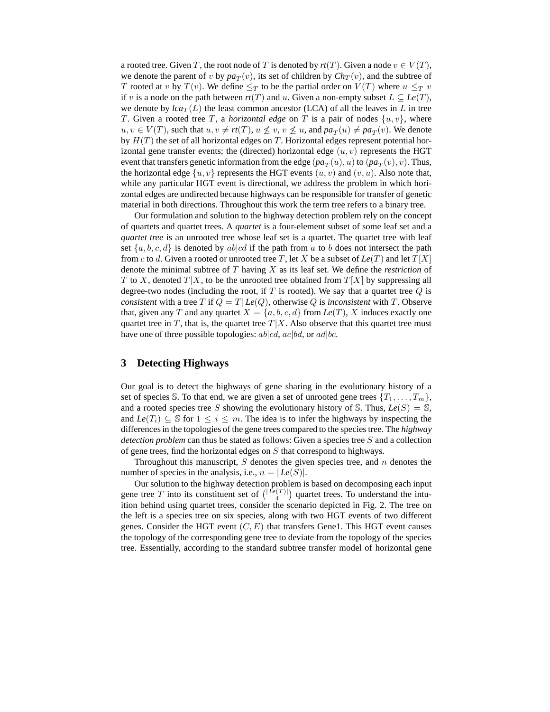a rooted tree. Given T, the root node of T is denoted by  $rt(T)$ . Given a node  $v \in V(T)$ , we denote the parent of v by  $pa_T(v)$ , its set of children by  $Ch_T(v)$ , and the subtree of T rooted at v by  $T(v)$ . We define  $\leq_T$  to be the partial order on  $V(T)$  where  $u \leq_T v$ if v is a node on the path between  $rt(T)$  and u. Given a non-empty subset  $L \subseteq Le(T)$ , we denote by  $lca_T(L)$  the least common ancestor (LCA) of all the leaves in L in tree T. Given a rooted tree T, a *horizontal edge* on T is a pair of nodes  $\{u, v\}$ , where  $u, v \in V(T)$ , such that  $u, v \neq rt(T)$ ,  $u \not\leq v$ ,  $v \not\leq u$ , and  $pa_T(u) \neq pa_T(v)$ . We denote by  $H(T)$  the set of all horizontal edges on T. Horizontal edges represent potential horizontal gene transfer events; the (directed) horizontal edge  $(u, v)$  represents the HGT event that transfers genetic information from the edge  $(pa_T(u), u)$  to  $(pa_T(v), v)$ . Thus, the horizontal edge  $\{u, v\}$  represents the HGT events  $(u, v)$  and  $(v, u)$ . Also note that, while any particular HGT event is directional, we address the problem in which horizontal edges are undirected because highways can be responsible for transfer of genetic material in both directions. Throughout this work the term tree refers to a binary tree.

Our formulation and solution to the highway detection problem rely on the concept of quartets and quartet trees. A *quartet* is a four-element subset of some leaf set and a *quartet tree* is an unrooted tree whose leaf set is a quartet. The quartet tree with leaf set  $\{a, b, c, d\}$  is denoted by  $ab|cd$  if the path from a to b does not intersect the path from c to d. Given a rooted or unrooted tree T, let X be a subset of  $Le(T)$  and let  $T[X]$ denote the minimal subtree of T having X as its leaf set. We define the *restriction* of T to X, denoted  $T|X$ , to be the unrooted tree obtained from  $T[X]$  by suppressing all degree-two nodes (including the root, if  $T$  is rooted). We say that a quartet tree  $Q$  is *consistent* with a tree T if  $Q = T | Le(Q)$ , otherwise Q is *inconsistent* with T. Observe that, given any T and any quartet  $X = \{a, b, c, d\}$  from  $Le(T)$ , X induces exactly one quartet tree in T, that is, the quartet tree  $T | X$ . Also observe that this quartet tree must have one of three possible topologies:  $ab|cd, ac|bd$ , or  $ad|bc$ .

## **3 Detecting Highways**

Our goal is to detect the highways of gene sharing in the evolutionary history of a set of species S. To that end, we are given a set of unrooted gene trees  $\{T_1, \ldots, T_m\}$ , and a rooted species tree S showing the evolutionary history of S. Thus,  $Le(S) = S$ , and  $Le(T_i) \subseteq \mathbb{S}$  for  $1 \leq i \leq m$ . The idea is to infer the highways by inspecting the differences in the topologies of the gene trees compared to the species tree. The *highway detection problem* can thus be stated as follows: Given a species tree S and a collection of gene trees, find the horizontal edges on S that correspond to highways.

Throughout this manuscript, S denotes the given species tree, and  $n$  denotes the number of species in the analysis, i.e.,  $n = |Le(S)|$ .

Our solution to the highway detection problem is based on decomposing each input gene tree T into its constituent set of  $\binom{|E(T)|}{4}$  quartet trees. To understand the intuition behind using quartet trees, consider the scenario depicted in Fig. 2. The tree on the left is a species tree on six species, along with two HGT events of two different genes. Consider the HGT event  $(C, E)$  that transfers Gene1. This HGT event causes the topology of the corresponding gene tree to deviate from the topology of the species tree. Essentially, according to the standard subtree transfer model of horizontal gene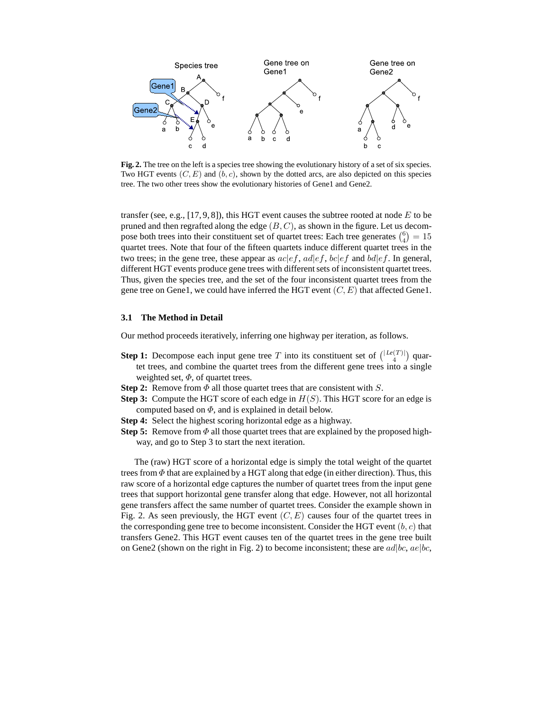

**Fig. 2.** The tree on the left is a species tree showing the evolutionary history of a set of six species. Two HGT events  $(C, E)$  and  $(b, c)$ , shown by the dotted arcs, are also depicted on this species tree. The two other trees show the evolutionary histories of Gene1 and Gene2.

transfer (see, e.g., [17, 9, 8]), this HGT event causes the subtree rooted at node  $E$  to be pruned and then regrafted along the edge  $(B, C)$ , as shown in the figure. Let us decompose both trees into their constituent set of quartet trees: Each tree generates  $\binom{6}{4} = 15$ quartet trees. Note that four of the fifteen quartets induce different quartet trees in the two trees; in the gene tree, these appear as  $ac|ef, ad|ef, bc|ef$  and  $bd|ef$ . In general, different HGT events produce gene trees with different sets of inconsistent quartet trees. Thus, given the species tree, and the set of the four inconsistent quartet trees from the gene tree on Gene1, we could have inferred the HGT event  $(C, E)$  that affected Gene1.

#### **3.1 The Method in Detail**

Our method proceeds iteratively, inferring one highway per iteration, as follows.

- **Step 1:** Decompose each input gene tree T into its constituent set of  $\binom{|L(e(T))|}{4}$  quartet trees, and combine the quartet trees from the different gene trees into a single weighted set,  $\Phi$ , of quartet trees.
- **Step 2:** Remove from  $\Phi$  all those quartet trees that are consistent with S.
- **Step 3:** Compute the HGT score of each edge in  $H(S)$ . This HGT score for an edge is computed based on  $\Phi$ , and is explained in detail below.
- **Step 4:** Select the highest scoring horizontal edge as a highway.
- **Step 5:** Remove from  $\Phi$  all those quartet trees that are explained by the proposed highway, and go to Step 3 to start the next iteration.

The (raw) HGT score of a horizontal edge is simply the total weight of the quartet trees from  $\Phi$  that are explained by a HGT along that edge (in either direction). Thus, this raw score of a horizontal edge captures the number of quartet trees from the input gene trees that support horizontal gene transfer along that edge. However, not all horizontal gene transfers affect the same number of quartet trees. Consider the example shown in Fig. 2. As seen previously, the HGT event  $(C, E)$  causes four of the quartet trees in the corresponding gene tree to become inconsistent. Consider the HGT event  $(b, c)$  that transfers Gene2. This HGT event causes ten of the quartet trees in the gene tree built on Gene2 (shown on the right in Fig. 2) to become inconsistent; these are  $ad|bc$ ,  $ae|bc$ ,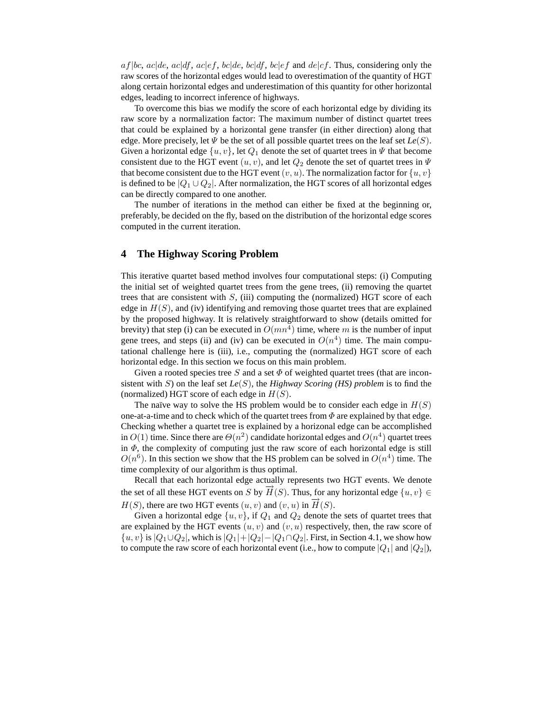$af|bc, ac|de, ac|df, ac|ef, bc|de, bc|df, bc|ef$  and  $de|cf$ . Thus, considering only the raw scores of the horizontal edges would lead to overestimation of the quantity of HGT along certain horizontal edges and underestimation of this quantity for other horizontal edges, leading to incorrect inference of highways.

To overcome this bias we modify the score of each horizontal edge by dividing its raw score by a normalization factor: The maximum number of distinct quartet trees that could be explained by a horizontal gene transfer (in either direction) along that edge. More precisely, let  $\Psi$  be the set of all possible quartet trees on the leaf set  $Le(S)$ . Given a horizontal edge  $\{u, v\}$ , let  $Q_1$  denote the set of quartet trees in  $\Psi$  that become consistent due to the HGT event  $(u, v)$ , and let  $Q_2$  denote the set of quartet trees in  $\Psi$ that become consistent due to the HGT event  $(v, u)$ . The normalization factor for  $\{u, v\}$ is defined to be  $|Q_1 \cup Q_2|$ . After normalization, the HGT scores of all horizontal edges can be directly compared to one another.

The number of iterations in the method can either be fixed at the beginning or, preferably, be decided on the fly, based on the distribution of the horizontal edge scores computed in the current iteration.

## **4 The Highway Scoring Problem**

This iterative quartet based method involves four computational steps: (i) Computing the initial set of weighted quartet trees from the gene trees, (ii) removing the quartet trees that are consistent with  $S$ , (iii) computing the (normalized) HGT score of each edge in  $H(S)$ , and (iv) identifying and removing those quartet trees that are explained by the proposed highway. It is relatively straightforward to show (details omitted for brevity) that step (i) can be executed in  $O(mn^4)$  time, where m is the number of input gene trees, and steps (ii) and (iv) can be executed in  $O(n^4)$  time. The main computational challenge here is (iii), i.e., computing the (normalized) HGT score of each horizontal edge. In this section we focus on this main problem.

Given a rooted species tree S and a set  $\Phi$  of weighted quartet trees (that are inconsistent with S) on the leaf set *Le*(S), the *Highway Scoring (HS) problem* is to find the (normalized) HGT score of each edge in  $H(S)$ .

The naïve way to solve the HS problem would be to consider each edge in  $H(S)$ one-at-a-time and to check which of the quartet trees from  $\Phi$  are explained by that edge. Checking whether a quartet tree is explained by a horizonal edge can be accomplished in  $O(1)$  time. Since there are  $O(n^2)$  candidate horizontal edges and  $O(n^4)$  quartet trees in  $\Phi$ , the complexity of computing just the raw score of each horizontal edge is still  $O(n^6)$ . In this section we show that the HS problem can be solved in  $O(n^4)$  time. The time complexity of our algorithm is thus optimal.

Recall that each horizontal edge actually represents two HGT events. We denote the set of all these HGT events on S by  $\overrightarrow{H}(S)$ . Thus, for any horizontal edge  $\{u, v\} \in$  $H(S)$ , there are two HGT events  $(u, v)$  and  $(v, u)$  in  $\vec{H}(S)$ .

Given a horizontal edge  $\{u, v\}$ , if  $Q_1$  and  $Q_2$  denote the sets of quartet trees that are explained by the HGT events  $(u, v)$  and  $(v, u)$  respectively, then, the raw score of  $\{u, v\}$  is  $|Q_1 \cup Q_2|$ , which is  $|Q_1| + |Q_2| - |Q_1 \cap Q_2|$ . First, in Section 4.1, we show how to compute the raw score of each horizontal event (i.e., how to compute  $|Q_1|$  and  $|Q_2|$ ),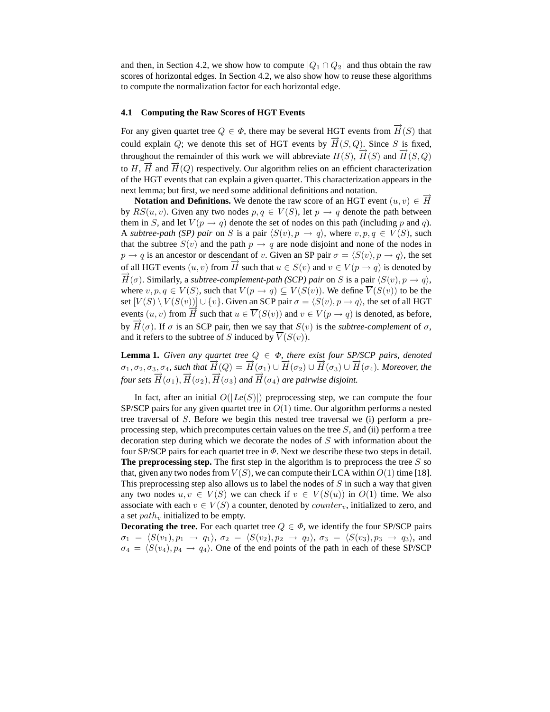and then, in Section 4.2, we show how to compute  $|Q_1 \cap Q_2|$  and thus obtain the raw scores of horizontal edges. In Section 4.2, we also show how to reuse these algorithms to compute the normalization factor for each horizontal edge.

#### **4.1 Computing the Raw Scores of HGT Events**

For any given quartet tree  $Q \in \Phi$ , there may be several HGT events from  $\overrightarrow{H}(S)$  that could explain Q; we denote this set of HGT events by  $\overrightarrow{H}(S, Q)$ . Since S is fixed, throughout the remainder of this work we will abbreviate  $H(S)$ ,  $\overrightarrow{H}(S)$  and  $\overrightarrow{H}(S,Q)$ to H,  $\vec{H}$  and  $\vec{H}(Q)$  respectively. Our algorithm relies on an efficient characterization of the HGT events that can explain a given quartet. This characterization appears in the next lemma; but first, we need some additional definitions and notation.

**Notation and Definitions.** We denote the raw score of an HGT event  $(u, v) \in \overrightarrow{H}$ by  $RS(u, v)$ . Given any two nodes  $p, q \in V(S)$ , let  $p \to q$  denote the path between them in S, and let  $V(p \rightarrow q)$  denote the set of nodes on this path (including p and q). A *subtree-path (SP) pair* on S is a pair  $\langle S(v), p \rightarrow q \rangle$ , where  $v, p, q \in V(S)$ , such that the subtree  $S(v)$  and the path  $p \to q$  are node disjoint and none of the nodes in  $p \rightarrow q$  is an ancestor or descendant of v. Given an SP pair  $\sigma = \langle S(v), p \rightarrow q \rangle$ , the set of all HGT events  $(u, v)$  from  $\overrightarrow{H}$  such that  $u \in S(v)$  and  $v \in V(p \rightarrow q)$  is denoted by  $\overline{H}(\sigma)$ . Similarly, a *subtree-complement-path (SCP) pair* on S is a pair  $\langle S(v), p \to q \rangle$ , where  $v, p, q \in V(S)$ , such that  $V(p \to q) \subseteq V(S(v))$ . We define  $\overline{V}(S(v))$  to be the set  $[V(S) \setminus V(S(v))] \cup \{v\}$ . Given an SCP pair  $\sigma = \langle S(v), p \to q \rangle$ , the set of all HGT events  $(u, v)$  from  $\overrightarrow{H}$  such that  $u \in \overline{V}(S(v))$  and  $v \in V(p \to q)$  is denoted, as before, by  $\overrightarrow{H}(\sigma)$ . If  $\sigma$  is an SCP pair, then we say that  $S(v)$  is the *subtree-complement* of  $\sigma$ , and it refers to the subtree of S induced by  $\overline{V}(S(v))$ .

**Lemma 1.** *Given any quartet tree*  $Q \in \Phi$ *, there exist four SP/SCP pairs, denoted*  $\sigma_1$ ,  $\sigma_2$ ,  $\sigma_3$ ,  $\sigma_4$ , such that  $\vec{H}(Q) = \vec{H}(\sigma_1) \cup \vec{H}(\sigma_2) \cup \vec{H}(\sigma_3) \cup \vec{H}(\sigma_4)$ *. Moreover, the four sets*  $\overrightarrow{H}(\sigma_1), \overrightarrow{H}(\sigma_2), \overrightarrow{H}(\sigma_3)$  and  $\overrightarrow{H}(\sigma_4)$  are pairwise disjoint.

In fact, after an initial  $O(|Le(S)|)$  preprocessing step, we can compute the four SP/SCP pairs for any given quartet tree in  $O(1)$  time. Our algorithm performs a nested tree traversal of S. Before we begin this nested tree traversal we (i) perform a preprocessing step, which precomputes certain values on the tree  $S$ , and (ii) perform a tree decoration step during which we decorate the nodes of S with information about the four SP/SCP pairs for each quartet tree in  $\Phi$ . Next we describe these two steps in detail. **The preprocessing step.** The first step in the algorithm is to preprocess the tree S so that, given any two nodes from  $V(S)$ , we can compute their LCA within  $O(1)$  time [18]. This preprocessing step also allows us to label the nodes of  $S$  in such a way that given any two nodes  $u, v \in V(S)$  we can check if  $v \in V(S(u))$  in  $O(1)$  time. We also associate with each  $v \in V(S)$  a counter, denoted by *counter<sub>v</sub>*, initialized to zero, and a set  $path_v$  initialized to be empty.

**Decorating the tree.** For each quartet tree  $Q \in \Phi$ , we identify the four SP/SCP pairs  $\sigma_1 = \langle S(v_1), p_1 \rightarrow q_1 \rangle$ ,  $\sigma_2 = \langle S(v_2), p_2 \rightarrow q_2 \rangle$ ,  $\sigma_3 = \langle S(v_3), p_3 \rightarrow q_3 \rangle$ , and  $\sigma_4 = \langle S(v_4), p_4 \rightarrow q_4 \rangle$ . One of the end points of the path in each of these SP/SCP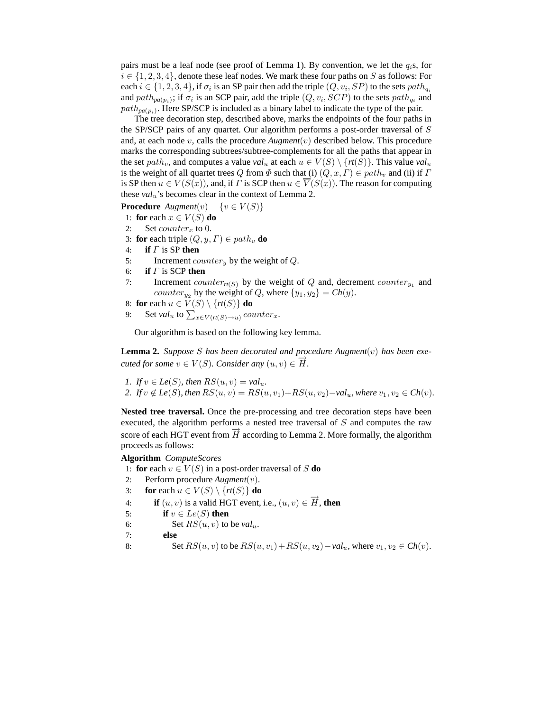pairs must be a leaf node (see proof of Lemma 1). By convention, we let the  $q_i$ s, for  $i \in \{1, 2, 3, 4\}$ , denote these leaf nodes. We mark these four paths on S as follows: For each  $i \in \{1, 2, 3, 4\}$ , if  $\sigma_i$  is an SP pair then add the triple  $(Q, v_i, SP)$  to the sets  $path_{q_i}$ and  $path_{pa(p_i)}$ ; if  $\sigma_i$  is an SCP pair, add the triple  $(Q, v_i, SCP)$  to the sets  $path_{q_i}$  and  $path_{pa(p_i)}$ . Here SP/SCP is included as a binary label to indicate the type of the pair.

The tree decoration step, described above, marks the endpoints of the four paths in the SP/SCP pairs of any quartet. Our algorithm performs a post-order traversal of S and, at each node  $v$ , calls the procedure  $Augment(v)$  described below. This procedure marks the corresponding subtrees/subtree-complements for all the paths that appear in the set path<sub>v</sub>, and computes a value *val<sub>u</sub>* at each  $u \in V(S) \setminus \{rt(S)\}\$ . This value *valu* is the weight of all quartet trees Q from  $\Phi$  such that (i)  $(Q, x, \Gamma) \in path_v$  and (ii) if  $\Gamma$ is SP then  $u \in V(S(x))$ , and, if  $\Gamma$  is SCP then  $u \in \overline{V}(S(x))$ . The reason for computing these *val*u's becomes clear in the context of Lemma 2.

**Procedure**  $Augment(v) \quad \{v \in V(S)\}\$ 

- 1: **for** each  $x \in V(S)$  **do**
- 2: Set *counter<sub>x</sub>* to 0.
- 3: **for** each triple  $(Q, y, \Gamma) \in path_v$  **do**
- 4: **if** Γ is SP **then**
- 5: Increment *counter*<sub>y</sub> by the weight of  $Q$ .
- 6: **if** Γ is SCP **then**
- 7: Increment *counter*<sub> $rt(S)$ </sub> by the weight of Q and, decrement *counter*<sub>y<sub>1</sub></sub> and *counter*<sub> $y_2$ </sub> by the weight of Q, where  $\{y_1, y_2\} = Ch(y)$ .
- 8: **for** each  $u \in V(S) \setminus \{rt(S)\}\$ **do**
- 9: Set *val*<sub>u</sub> to  $\sum_{x \in V(rt(S) \to u)} counter_x$ .

Our algorithm is based on the following key lemma.

**Lemma 2.** *Suppose* S *has been decorated and procedure Augment*(v) *has been executed for some*  $v \in V(S)$ *. Consider any*  $(u, v) \in \overrightarrow{H}$ .

*1. If*  $v \in Le(S)$ *, then*  $RS(u, v) = val_u$ *. 2. If*  $v \notin Le(S)$ *, then*  $RS(u, v) = RS(u, v_1) + RS(u, v_2) - val_u$ *, where*  $v_1, v_2 \in Ch(v)$ *.* 

**Nested tree traversal.** Once the pre-processing and tree decoration steps have been executed, the algorithm performs a nested tree traversal of S and computes the raw score of each HGT event from  $\overrightarrow{H}$  according to Lemma 2. More formally, the algorithm proceeds as follows:

**Algorithm** *ComputeScores*

- 1: **for** each  $v \in V(S)$  in a post-order traversal of S **do**
- 2: Perform procedure *Augment*(v).
- 3: **for** each  $u \in V(S) \setminus \{rt(S)\}\$ **do**
- 4: **if**  $(u, v)$  is a valid HGT event, i.e.,  $(u, v) \in \overrightarrow{H}$ , then
- 5: **if**  $v \in Le(S)$  **then**
- 6: Set  $RS(u, v)$  to be  $val_u$ .
- 7: **else**
- 8: Set  $RS(u, v)$  to be  $RS(u, v_1) + RS(u, v_2) val_u$ , where  $v_1, v_2 \in Ch(v)$ .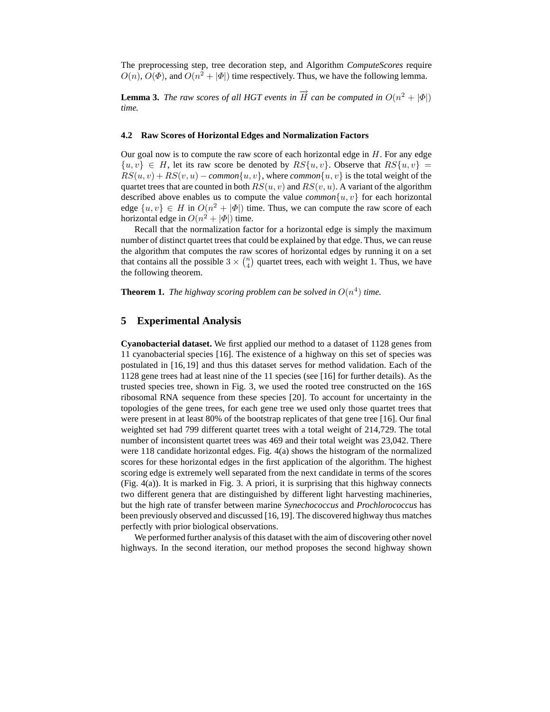The preprocessing step, tree decoration step, and Algorithm *ComputeScores* require  $O(n)$ ,  $O(\Phi)$ , and  $O(n^2 + |\Phi|)$  time respectively. Thus, we have the following lemma.

**Lemma 3.** *The raw scores of all HGT events in*  $\overrightarrow{H}$  *can be computed in*  $O(n^2 + |\Phi|)$ *time.*

#### **4.2 Raw Scores of Horizontal Edges and Normalization Factors**

Our goal now is to compute the raw score of each horizontal edge in  $H$ . For any edge  $\{u, v\} \in H$ , let its raw score be denoted by  $RS\{u, v\}$ . Observe that  $RS\{u, v\}$  =  $RS(u, v) + RS(v, u) - common\{u, v\}$ , where *common* $\{u, v\}$  is the total weight of the quartet trees that are counted in both  $RS(u, v)$  and  $RS(v, u)$ . A variant of the algorithm described above enables us to compute the value  $common\{u, v\}$  for each horizontal edge  $\{u, v\} \in H$  in  $O(n^2 + |\Phi|)$  time. Thus, we can compute the raw score of each horizontal edge in  $O(n^2 + |\Phi|)$  time.

Recall that the normalization factor for a horizontal edge is simply the maximum number of distinct quartet trees that could be explained by that edge. Thus, we can reuse the algorithm that computes the raw scores of horizontal edges by running it on a set that contains all the possible  $3 \times {n \choose 4}$  quartet trees, each with weight 1. Thus, we have the following theorem.

**Theorem 1.** The highway scoring problem can be solved in  $O(n^4)$  time.

## **5 Experimental Analysis**

**Cyanobacterial dataset.** We first applied our method to a dataset of 1128 genes from 11 cyanobacterial species [16]. The existence of a highway on this set of species was postulated in [16, 19] and thus this dataset serves for method validation. Each of the 1128 gene trees had at least nine of the 11 species (see [16] for further details). As the trusted species tree, shown in Fig. 3, we used the rooted tree constructed on the 16S ribosomal RNA sequence from these species [20]. To account for uncertainty in the topologies of the gene trees, for each gene tree we used only those quartet trees that were present in at least 80% of the bootstrap replicates of that gene tree [16]. Our final weighted set had 799 different quartet trees with a total weight of 214,729. The total number of inconsistent quartet trees was 469 and their total weight was 23,042. There were 118 candidate horizontal edges. Fig. 4(a) shows the histogram of the normalized scores for these horizontal edges in the first application of the algorithm. The highest scoring edge is extremely well separated from the next candidate in terms of the scores  $(Fig. 4(a))$ . It is marked in Fig. 3. A priori, it is surprising that this highway connects two different genera that are distinguished by different light harvesting machineries, but the high rate of transfer between marine *Synechococcus* and *Prochlorococcus* has been previously observed and discussed [16, 19]. The discovered highway thus matches perfectly with prior biological observations.

We performed further analysis of this dataset with the aim of discovering other novel highways. In the second iteration, our method proposes the second highway shown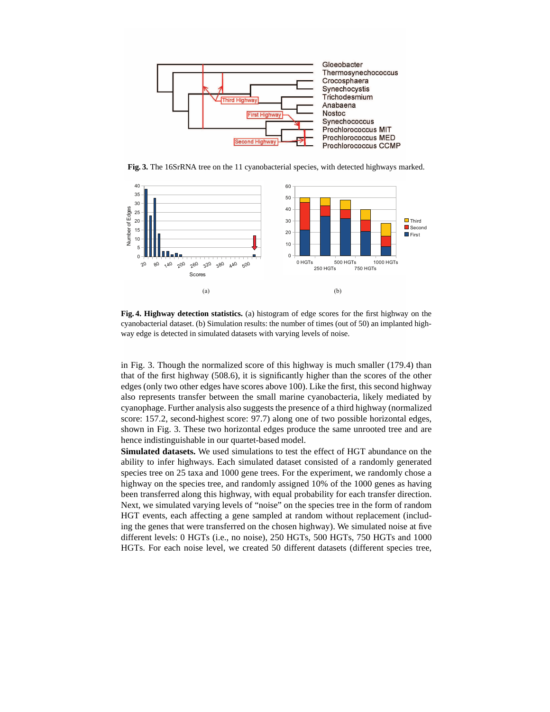

**Fig. 3.** The 16SrRNA tree on the 11 cyanobacterial species, with detected highways marked.



**Fig. 4. Highway detection statistics.** (a) histogram of edge scores for the first highway on the cyanobacterial dataset. (b) Simulation results: the number of times (out of 50) an implanted highway edge is detected in simulated datasets with varying levels of noise.

in Fig. 3. Though the normalized score of this highway is much smaller (179.4) than that of the first highway (508.6), it is significantly higher than the scores of the other edges (only two other edges have scores above 100). Like the first, this second highway also represents transfer between the small marine cyanobacteria, likely mediated by cyanophage. Further analysis also suggests the presence of a third highway (normalized score: 157.2, second-highest score: 97.7) along one of two possible horizontal edges, shown in Fig. 3. These two horizontal edges produce the same unrooted tree and are hence indistinguishable in our quartet-based model.

**Simulated datasets.** We used simulations to test the effect of HGT abundance on the ability to infer highways. Each simulated dataset consisted of a randomly generated species tree on 25 taxa and 1000 gene trees. For the experiment, we randomly chose a highway on the species tree, and randomly assigned 10% of the 1000 genes as having been transferred along this highway, with equal probability for each transfer direction. Next, we simulated varying levels of "noise" on the species tree in the form of random HGT events, each affecting a gene sampled at random without replacement (including the genes that were transferred on the chosen highway). We simulated noise at five different levels: 0 HGTs (i.e., no noise), 250 HGTs, 500 HGTs, 750 HGTs and 1000 HGTs. For each noise level, we created 50 different datasets (different species tree,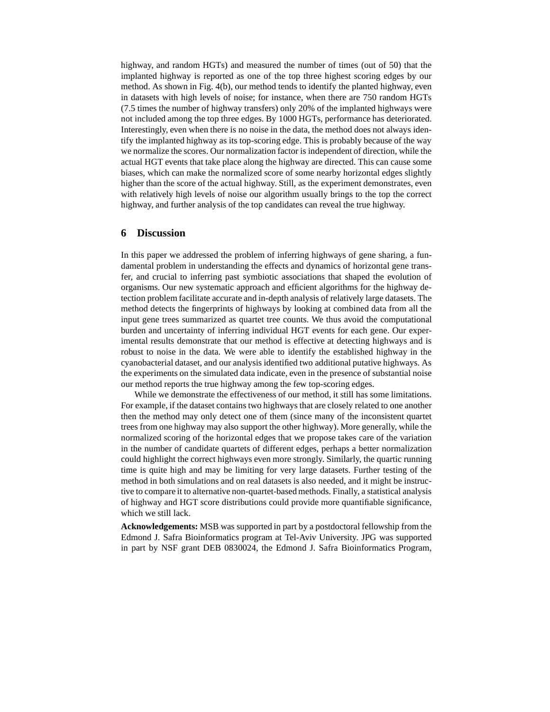highway, and random HGTs) and measured the number of times (out of 50) that the implanted highway is reported as one of the top three highest scoring edges by our method. As shown in Fig. 4(b), our method tends to identify the planted highway, even in datasets with high levels of noise; for instance, when there are 750 random HGTs (7.5 times the number of highway transfers) only 20% of the implanted highways were not included among the top three edges. By 1000 HGTs, performance has deteriorated. Interestingly, even when there is no noise in the data, the method does not always identify the implanted highway as its top-scoring edge. This is probably because of the way we normalize the scores. Our normalization factor is independent of direction, while the actual HGT events that take place along the highway are directed. This can cause some biases, which can make the normalized score of some nearby horizontal edges slightly higher than the score of the actual highway. Still, as the experiment demonstrates, even with relatively high levels of noise our algorithm usually brings to the top the correct highway, and further analysis of the top candidates can reveal the true highway.

## **6 Discussion**

In this paper we addressed the problem of inferring highways of gene sharing, a fundamental problem in understanding the effects and dynamics of horizontal gene transfer, and crucial to inferring past symbiotic associations that shaped the evolution of organisms. Our new systematic approach and efficient algorithms for the highway detection problem facilitate accurate and in-depth analysis of relatively large datasets. The method detects the fingerprints of highways by looking at combined data from all the input gene trees summarized as quartet tree counts. We thus avoid the computational burden and uncertainty of inferring individual HGT events for each gene. Our experimental results demonstrate that our method is effective at detecting highways and is robust to noise in the data. We were able to identify the established highway in the cyanobacterial dataset, and our analysis identified two additional putative highways. As the experiments on the simulated data indicate, even in the presence of substantial noise our method reports the true highway among the few top-scoring edges.

While we demonstrate the effectiveness of our method, it still has some limitations. For example, if the dataset contains two highways that are closely related to one another then the method may only detect one of them (since many of the inconsistent quartet trees from one highway may also support the other highway). More generally, while the normalized scoring of the horizontal edges that we propose takes care of the variation in the number of candidate quartets of different edges, perhaps a better normalization could highlight the correct highways even more strongly. Similarly, the quartic running time is quite high and may be limiting for very large datasets. Further testing of the method in both simulations and on real datasets is also needed, and it might be instructive to compare it to alternative non-quartet-based methods. Finally, a statistical analysis of highway and HGT score distributions could provide more quantifiable significance, which we still lack.

**Acknowledgements:** MSB was supported in part by a postdoctoral fellowship from the Edmond J. Safra Bioinformatics program at Tel-Aviv University. JPG was supported in part by NSF grant DEB 0830024, the Edmond J. Safra Bioinformatics Program,